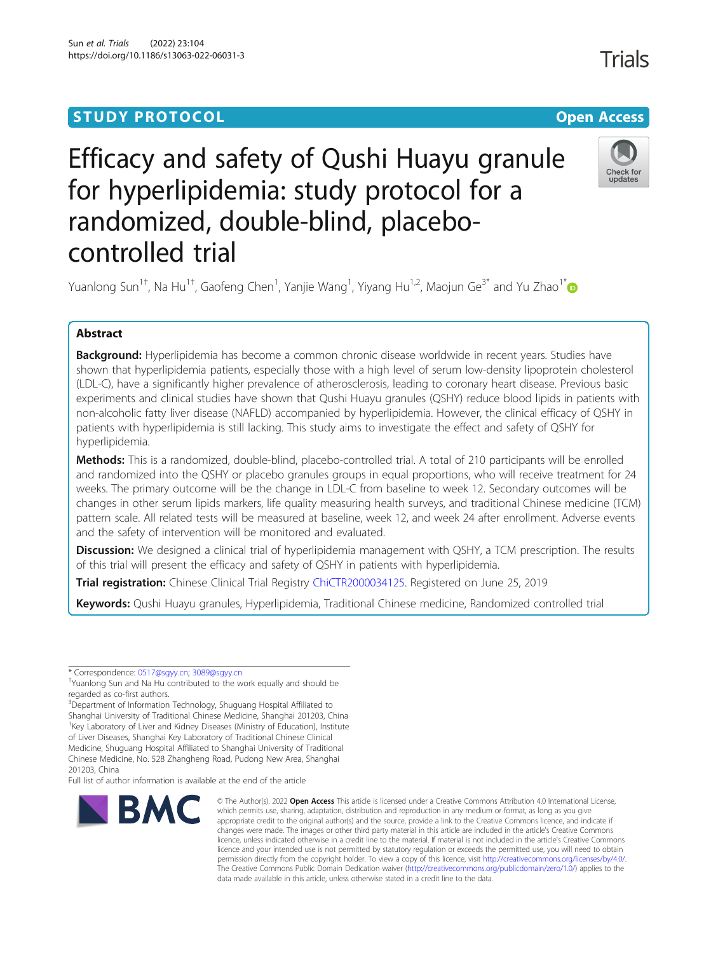### **STUDY PROTOCOL CONSUMING THE RESERVE ACCESS**

# Efficacy and safety of Qushi Huayu granule for hyperlipidemia: study protocol for a randomized, double-blind, placebocontrolled trial

Yuanlong Sun<sup>1†</sup>, Na Hu<sup>1†</sup>, Gaofeng Chen<sup>1</sup>, Yanjie Wang<sup>1</sup>, Yiyang Hu<sup>1,2</sup>, Maojun Ge<sup>3[\\*](http://orcid.org/0000-0002-2208-2882)</sup> and Yu Zhao<sup>1\*</sup>

### Abstract

Background: Hyperlipidemia has become a common chronic disease worldwide in recent years. Studies have shown that hyperlipidemia patients, especially those with a high level of serum low-density lipoprotein cholesterol (LDL-C), have a significantly higher prevalence of atherosclerosis, leading to coronary heart disease. Previous basic experiments and clinical studies have shown that Qushi Huayu granules (QSHY) reduce blood lipids in patients with non-alcoholic fatty liver disease (NAFLD) accompanied by hyperlipidemia. However, the clinical efficacy of QSHY in patients with hyperlipidemia is still lacking. This study aims to investigate the effect and safety of QSHY for hyperlipidemia.

Methods: This is a randomized, double-blind, placebo-controlled trial. A total of 210 participants will be enrolled and randomized into the QSHY or placebo granules groups in equal proportions, who will receive treatment for 24 weeks. The primary outcome will be the change in LDL-C from baseline to week 12. Secondary outcomes will be changes in other serum lipids markers, life quality measuring health surveys, and traditional Chinese medicine (TCM) pattern scale. All related tests will be measured at baseline, week 12, and week 24 after enrollment. Adverse events and the safety of intervention will be monitored and evaluated.

Discussion: We designed a clinical trial of hyperlipidemia management with QSHY, a TCM prescription. The results of this trial will present the efficacy and safety of QSHY in patients with hyperlipidemia.

Trial registration: Chinese Clinical Trial Registry [ChiCTR2000034125.](http://www.chictr.org.cn/showproj.aspx?proj=47758) Registered on June 25, 2019

Keywords: Qushi Huayu granules, Hyperlipidemia, Traditional Chinese medicine, Randomized controlled trial

<sup>3</sup>Department of Information Technology, Shuguang Hospital Affiliated to Shanghai University of Traditional Chinese Medicine, Shanghai 201203, China <sup>1</sup>Key Laboratory of Liver and Kidney Diseases (Ministry of Education), Institute of Liver Diseases, Shanghai Key Laboratory of Traditional Chinese Clinical Medicine, Shuguang Hospital Affiliated to Shanghai University of Traditional Chinese Medicine, No. 528 Zhangheng Road, Pudong New Area, Shanghai 201203, China

Full list of author information is available at the end of the article

## Sun et al. Trials (2022) 23:104



<sup>©</sup> The Author(s), 2022 **Open Access** This article is licensed under a Creative Commons Attribution 4.0 International License, which permits use, sharing, adaptation, distribution and reproduction in any medium or format, as long as you give appropriate credit to the original author(s) and the source, provide a link to the Creative Commons licence, and indicate if changes were made. The images or other third party material in this article are included in the article's Creative Commons licence, unless indicated otherwise in a credit line to the material. If material is not included in the article's Creative Commons licence and your intended use is not permitted by statutory regulation or exceeds the permitted use, you will need to obtain permission directly from the copyright holder. To view a copy of this licence, visit [http://creativecommons.org/licenses/by/4.0/.](http://creativecommons.org/licenses/by/4.0/) The Creative Commons Public Domain Dedication waiver [\(http://creativecommons.org/publicdomain/zero/1.0/](http://creativecommons.org/publicdomain/zero/1.0/)) applies to the data made available in this article, unless otherwise stated in a credit line to the data.



<sup>\*</sup> Correspondence: [0517@sgyy.cn](mailto:0517@sgyy.cn); [3089@sgyy.cn](mailto:3089@sgyy.cn) †

Yuanlong Sun and Na Hu contributed to the work equally and should be regarded as co-first authors.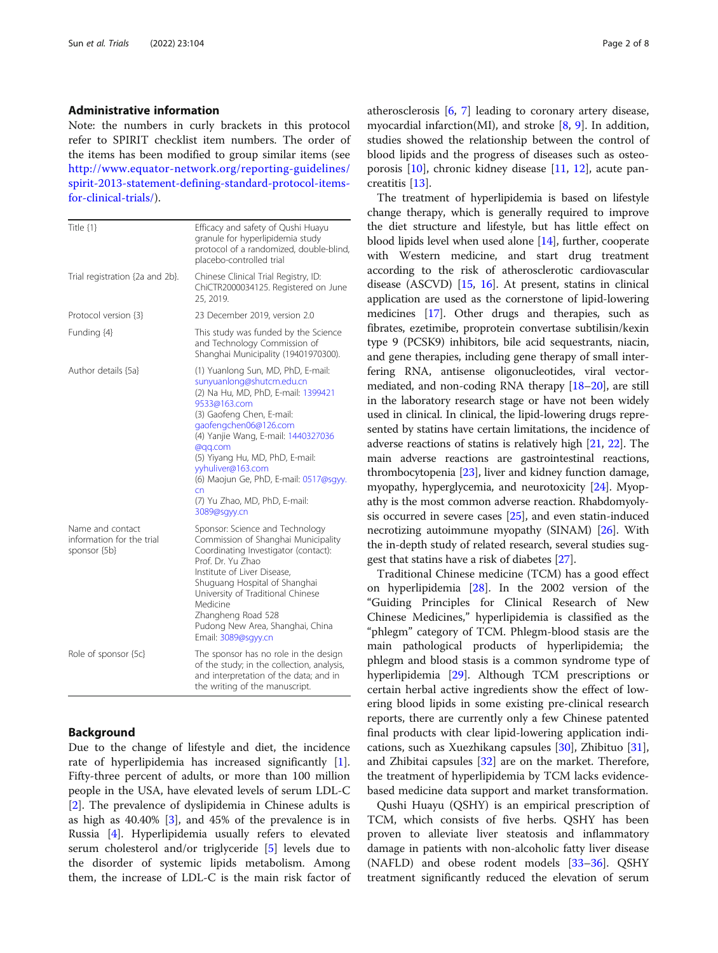#### Administrative information

Note: the numbers in curly brackets in this protocol refer to SPIRIT checklist item numbers. The order of the items has been modified to group similar items (see [http://www.equator-network.org/reporting-guidelines/](http://www.equator-network.org/reporting-guidelines/spirit-2013-statement-defining-standard-protocol-items-for-clinical-trials/) [spirit-2013-statement-defining-standard-protocol-items](http://www.equator-network.org/reporting-guidelines/spirit-2013-statement-defining-standard-protocol-items-for-clinical-trials/)[for-clinical-trials/](http://www.equator-network.org/reporting-guidelines/spirit-2013-statement-defining-standard-protocol-items-for-clinical-trials/)).

| Title {1}                                                     | Efficacy and safety of Qushi Huayu<br>granule for hyperlipidemia study<br>protocol of a randomized, double-blind,<br>placebo-controlled trial                                                                                                                                                                                                                                           |
|---------------------------------------------------------------|-----------------------------------------------------------------------------------------------------------------------------------------------------------------------------------------------------------------------------------------------------------------------------------------------------------------------------------------------------------------------------------------|
| Trial registration {2a and 2b}.                               | Chinese Clinical Trial Registry, ID:<br>ChiCTR2000034125. Registered on June<br>25, 2019.                                                                                                                                                                                                                                                                                               |
| Protocol version {3}                                          | 23 December 2019, version 2.0                                                                                                                                                                                                                                                                                                                                                           |
| Funding {4}                                                   | This study was funded by the Science<br>and Technology Commission of<br>Shanghai Municipality (19401970300).                                                                                                                                                                                                                                                                            |
| Author details {5a}                                           | (1) Yuanlong Sun, MD, PhD, E-mail:<br>sunyuanlong@shutcm.edu.cn<br>(2) Na Hu, MD, PhD, E-mail: 1399421<br>9533@163.com<br>(3) Gaofeng Chen, E-mail:<br>gaofengchen06@126.com<br>(4) Yanjie Wang, E-mail: 1440327036<br>@qq.com<br>(5) Yiyang Hu, MD, PhD, E-mail:<br>yyhuliver@163.com<br>(6) Maojun Ge, PhD, E-mail: 0517@sgyy.<br>cn<br>(7) Yu Zhao, MD, PhD, E-mail:<br>3089@sgyy.cn |
| Name and contact<br>information for the trial<br>sponsor {5b} | Sponsor: Science and Technology<br>Commission of Shanghai Municipality<br>Coordinating Investigator (contact):<br>Prof. Dr. Yu Zhao<br>Institute of Liver Disease,<br>Shuguang Hospital of Shanghai<br>University of Traditional Chinese<br>Medicine<br>Zhangheng Road 528<br>Pudong New Area, Shanghai, China<br>Email: 3089@sgyy.cn                                                   |
| Role of sponsor {5c}                                          | The sponsor has no role in the design<br>of the study; in the collection, analysis,<br>and interpretation of the data; and in<br>the writing of the manuscript.                                                                                                                                                                                                                         |

#### Background

Due to the change of lifestyle and diet, the incidence rate of hyperlipidemia has increased significantly [\[1](#page-6-0)]. Fifty-three percent of adults, or more than 100 million people in the USA, have elevated levels of serum LDL-C [[2\]](#page-6-0). The prevalence of dyslipidemia in Chinese adults is as high as 40.40% [[3\]](#page-6-0), and 45% of the prevalence is in Russia [\[4](#page-6-0)]. Hyperlipidemia usually refers to elevated serum cholesterol and/or triglyceride [\[5](#page-6-0)] levels due to the disorder of systemic lipids metabolism. Among them, the increase of LDL-C is the main risk factor of atherosclerosis [[6,](#page-6-0) [7\]](#page-6-0) leading to coronary artery disease, myocardial infarction(MI), and stroke [[8,](#page-7-0) [9](#page-7-0)]. In addition, studies showed the relationship between the control of blood lipids and the progress of diseases such as osteoporosis [[10\]](#page-7-0), chronic kidney disease [\[11,](#page-7-0) [12\]](#page-7-0), acute pancreatitis [[13\]](#page-7-0).

The treatment of hyperlipidemia is based on lifestyle change therapy, which is generally required to improve the diet structure and lifestyle, but has little effect on blood lipids level when used alone [[14\]](#page-7-0), further, cooperate with Western medicine, and start drug treatment according to the risk of atherosclerotic cardiovascular disease (ASCVD) [[15](#page-7-0), [16](#page-7-0)]. At present, statins in clinical application are used as the cornerstone of lipid-lowering medicines [\[17\]](#page-7-0). Other drugs and therapies, such as fibrates, ezetimibe, proprotein convertase subtilisin/kexin type 9 (PCSK9) inhibitors, bile acid sequestrants, niacin, and gene therapies, including gene therapy of small interfering RNA, antisense oligonucleotides, viral vectormediated, and non-coding RNA therapy [\[18](#page-7-0)–[20](#page-7-0)], are still in the laboratory research stage or have not been widely used in clinical. In clinical, the lipid-lowering drugs represented by statins have certain limitations, the incidence of adverse reactions of statins is relatively high [\[21](#page-7-0), [22](#page-7-0)]. The main adverse reactions are gastrointestinal reactions, thrombocytopenia [\[23\]](#page-7-0), liver and kidney function damage, myopathy, hyperglycemia, and neurotoxicity [[24](#page-7-0)]. Myopathy is the most common adverse reaction. Rhabdomyolysis occurred in severe cases [\[25\]](#page-7-0), and even statin-induced necrotizing autoimmune myopathy (SINAM) [[26](#page-7-0)]. With the in-depth study of related research, several studies suggest that statins have a risk of diabetes [\[27\]](#page-7-0).

Traditional Chinese medicine (TCM) has a good effect on hyperlipidemia [\[28](#page-7-0)]. In the 2002 version of the "Guiding Principles for Clinical Research of New Chinese Medicines," hyperlipidemia is classified as the "phlegm" category of TCM. Phlegm-blood stasis are the main pathological products of hyperlipidemia; the phlegm and blood stasis is a common syndrome type of hyperlipidemia [\[29\]](#page-7-0). Although TCM prescriptions or certain herbal active ingredients show the effect of lowering blood lipids in some existing pre-clinical research reports, there are currently only a few Chinese patented final products with clear lipid-lowering application indications, such as Xuezhikang capsules [[30](#page-7-0)], Zhibituo [\[31](#page-7-0)], and Zhibitai capsules [[32\]](#page-7-0) are on the market. Therefore, the treatment of hyperlipidemia by TCM lacks evidencebased medicine data support and market transformation.

Qushi Huayu (QSHY) is an empirical prescription of TCM, which consists of five herbs. QSHY has been proven to alleviate liver steatosis and inflammatory damage in patients with non-alcoholic fatty liver disease (NAFLD) and obese rodent models [[33](#page-7-0)–[36](#page-7-0)]. QSHY treatment significantly reduced the elevation of serum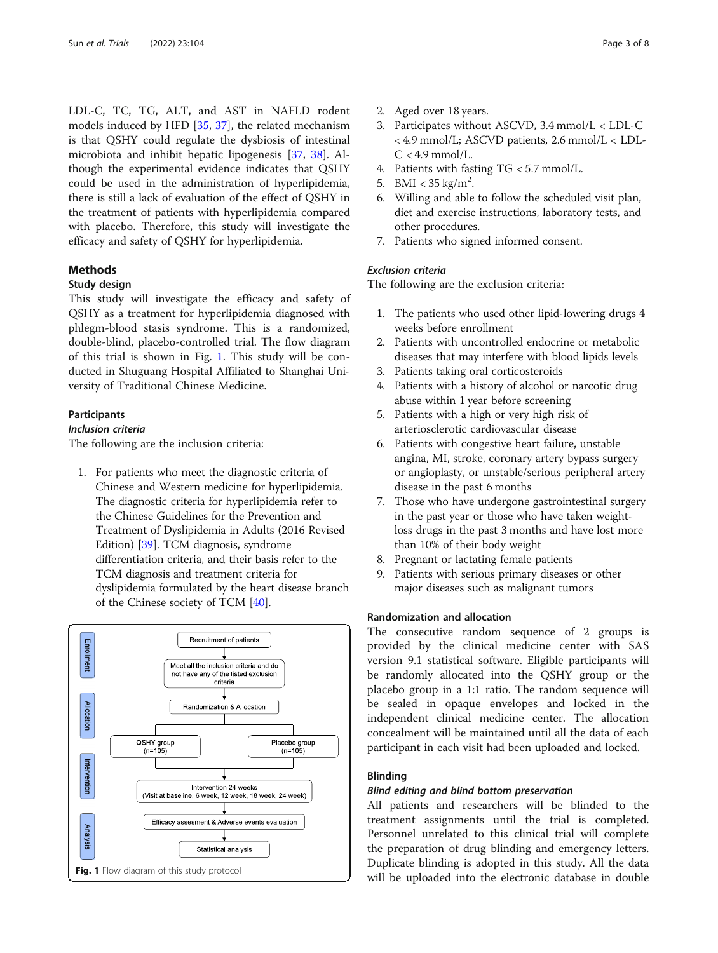LDL-C, TC, TG, ALT, and AST in NAFLD rodent models induced by HFD [[35](#page-7-0), [37](#page-7-0)], the related mechanism is that QSHY could regulate the dysbiosis of intestinal microbiota and inhibit hepatic lipogenesis [[37](#page-7-0), [38\]](#page-7-0). Although the experimental evidence indicates that QSHY could be used in the administration of hyperlipidemia, there is still a lack of evaluation of the effect of QSHY in the treatment of patients with hyperlipidemia compared with placebo. Therefore, this study will investigate the efficacy and safety of QSHY for hyperlipidemia.

#### Methods

#### Study design

This study will investigate the efficacy and safety of QSHY as a treatment for hyperlipidemia diagnosed with phlegm-blood stasis syndrome. This is a randomized, double-blind, placebo-controlled trial. The flow diagram of this trial is shown in Fig. 1. This study will be conducted in Shuguang Hospital Affiliated to Shanghai University of Traditional Chinese Medicine.

#### Participants

#### Inclusion criteria

The following are the inclusion criteria:

1. For patients who meet the diagnostic criteria of Chinese and Western medicine for hyperlipidemia. The diagnostic criteria for hyperlipidemia refer to the Chinese Guidelines for the Prevention and Treatment of Dyslipidemia in Adults (2016 Revised Edition) [[39](#page-7-0)]. TCM diagnosis, syndrome differentiation criteria, and their basis refer to the TCM diagnosis and treatment criteria for dyslipidemia formulated by the heart disease branch of the Chinese society of TCM [\[40\]](#page-7-0).



- 2. Aged over 18 years.
- 3. Participates without ASCVD, 3.4 mmol/L < LDL-C < 4.9 mmol/L; ASCVD patients, 2.6 mmol/L < LDL- $C < 4.9$  mmol/L.
- 4. Patients with fasting TG < 5.7 mmol/L.
- 5. BMI <  $35 \text{ kg/m}^2$ .
- 6. Willing and able to follow the scheduled visit plan, diet and exercise instructions, laboratory tests, and other procedures.
- 7. Patients who signed informed consent.

#### Exclusion criteria

The following are the exclusion criteria:

- 1. The patients who used other lipid-lowering drugs 4 weeks before enrollment
- 2. Patients with uncontrolled endocrine or metabolic diseases that may interfere with blood lipids levels
- 3. Patients taking oral corticosteroids
- 4. Patients with a history of alcohol or narcotic drug abuse within 1 year before screening
- 5. Patients with a high or very high risk of arteriosclerotic cardiovascular disease
- 6. Patients with congestive heart failure, unstable angina, MI, stroke, coronary artery bypass surgery or angioplasty, or unstable/serious peripheral artery disease in the past 6 months
- 7. Those who have undergone gastrointestinal surgery in the past year or those who have taken weightloss drugs in the past 3 months and have lost more than 10% of their body weight
- 8. Pregnant or lactating female patients
- 9. Patients with serious primary diseases or other major diseases such as malignant tumors

#### Randomization and allocation

The consecutive random sequence of 2 groups is provided by the clinical medicine center with SAS version 9.1 statistical software. Eligible participants will be randomly allocated into the QSHY group or the placebo group in a 1:1 ratio. The random sequence will be sealed in opaque envelopes and locked in the independent clinical medicine center. The allocation concealment will be maintained until all the data of each participant in each visit had been uploaded and locked.

#### Blinding

#### Blind editing and blind bottom preservation

All patients and researchers will be blinded to the treatment assignments until the trial is completed. Personnel unrelated to this clinical trial will complete the preparation of drug blinding and emergency letters. Duplicate blinding is adopted in this study. All the data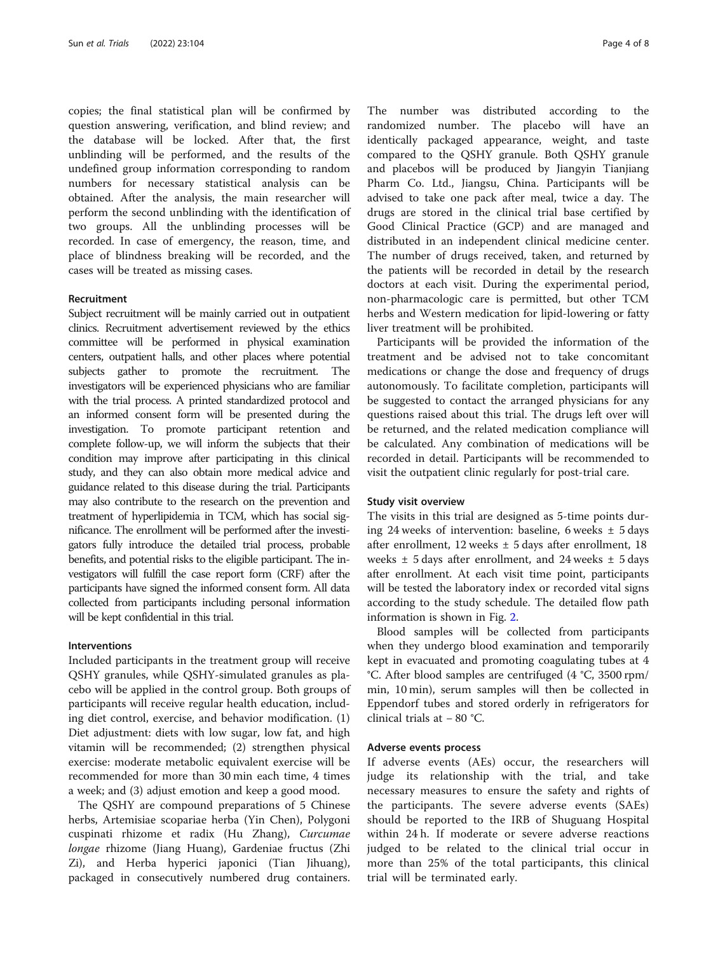copies; the final statistical plan will be confirmed by question answering, verification, and blind review; and the database will be locked. After that, the first unblinding will be performed, and the results of the undefined group information corresponding to random numbers for necessary statistical analysis can be obtained. After the analysis, the main researcher will perform the second unblinding with the identification of two groups. All the unblinding processes will be recorded. In case of emergency, the reason, time, and place of blindness breaking will be recorded, and the cases will be treated as missing cases.

#### Recruitment

Subject recruitment will be mainly carried out in outpatient clinics. Recruitment advertisement reviewed by the ethics committee will be performed in physical examination centers, outpatient halls, and other places where potential subjects gather to promote the recruitment. The investigators will be experienced physicians who are familiar with the trial process. A printed standardized protocol and an informed consent form will be presented during the investigation. To promote participant retention and complete follow-up, we will inform the subjects that their condition may improve after participating in this clinical study, and they can also obtain more medical advice and guidance related to this disease during the trial. Participants may also contribute to the research on the prevention and treatment of hyperlipidemia in TCM, which has social significance. The enrollment will be performed after the investigators fully introduce the detailed trial process, probable benefits, and potential risks to the eligible participant. The investigators will fulfill the case report form (CRF) after the participants have signed the informed consent form. All data collected from participants including personal information will be kept confidential in this trial.

#### Interventions

Included participants in the treatment group will receive QSHY granules, while QSHY-simulated granules as placebo will be applied in the control group. Both groups of participants will receive regular health education, including diet control, exercise, and behavior modification. (1) Diet adjustment: diets with low sugar, low fat, and high vitamin will be recommended; (2) strengthen physical exercise: moderate metabolic equivalent exercise will be recommended for more than 30 min each time, 4 times a week; and (3) adjust emotion and keep a good mood.

The QSHY are compound preparations of 5 Chinese herbs, Artemisiae scopariae herba (Yin Chen), Polygoni cuspinati rhizome et radix (Hu Zhang), Curcumae longae rhizome (Jiang Huang), Gardeniae fructus (Zhi Zi), and Herba hyperici japonici (Tian Jihuang), packaged in consecutively numbered drug containers. The number was distributed according to the randomized number. The placebo will have an identically packaged appearance, weight, and taste compared to the QSHY granule. Both QSHY granule and placebos will be produced by Jiangyin Tianjiang Pharm Co. Ltd., Jiangsu, China. Participants will be advised to take one pack after meal, twice a day. The drugs are stored in the clinical trial base certified by Good Clinical Practice (GCP) and are managed and distributed in an independent clinical medicine center. The number of drugs received, taken, and returned by the patients will be recorded in detail by the research doctors at each visit. During the experimental period, non-pharmacologic care is permitted, but other TCM herbs and Western medication for lipid-lowering or fatty liver treatment will be prohibited.

Participants will be provided the information of the treatment and be advised not to take concomitant medications or change the dose and frequency of drugs autonomously. To facilitate completion, participants will be suggested to contact the arranged physicians for any questions raised about this trial. The drugs left over will be returned, and the related medication compliance will be calculated. Any combination of medications will be recorded in detail. Participants will be recommended to visit the outpatient clinic regularly for post-trial care.

#### Study visit overview

The visits in this trial are designed as 5-time points during 24 weeks of intervention: baseline, 6 weeks  $\pm$  5 days after enrollment, 12 weeks  $\pm$  5 days after enrollment, 18 weeks  $\pm$  5 days after enrollment, and 24 weeks  $\pm$  5 days after enrollment. At each visit time point, participants will be tested the laboratory index or recorded vital signs according to the study schedule. The detailed flow path information is shown in Fig. [2](#page-4-0).

Blood samples will be collected from participants when they undergo blood examination and temporarily kept in evacuated and promoting coagulating tubes at 4 °C. After blood samples are centrifuged (4 °C, 3500 rpm/ min, 10 min), serum samples will then be collected in Eppendorf tubes and stored orderly in refrigerators for clinical trials at − 80 °C.

#### Adverse events process

If adverse events (AEs) occur, the researchers will judge its relationship with the trial, and take necessary measures to ensure the safety and rights of the participants. The severe adverse events (SAEs) should be reported to the IRB of Shuguang Hospital within 24 h. If moderate or severe adverse reactions judged to be related to the clinical trial occur in more than 25% of the total participants, this clinical trial will be terminated early.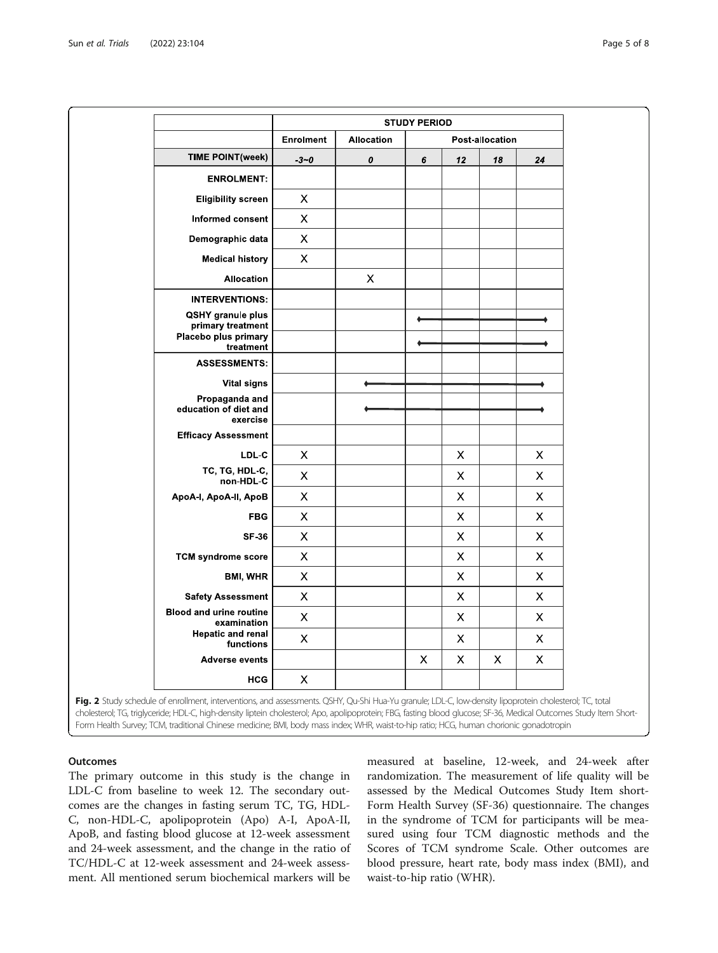<span id="page-4-0"></span>

|                                               | <b>STUDY PERIOD</b>       |                   |                           |                |    |                           |  |  |
|-----------------------------------------------|---------------------------|-------------------|---------------------------|----------------|----|---------------------------|--|--|
|                                               | <b>Enrolment</b>          | <b>Allocation</b> | Post-allocation           |                |    |                           |  |  |
| <b>TIME POINT(week)</b>                       | $-3 - 0$                  | 0                 | 6                         | 12             | 18 | 24                        |  |  |
| <b>ENROLMENT:</b>                             |                           |                   |                           |                |    |                           |  |  |
| <b>Eligibility screen</b>                     | X                         |                   |                           |                |    |                           |  |  |
| Informed consent                              | $\mathsf X$               |                   |                           |                |    |                           |  |  |
| Demographic data                              | $\boldsymbol{\mathsf{X}}$ |                   |                           |                |    |                           |  |  |
| <b>Medical history</b>                        | $\pmb{\times}$            |                   |                           |                |    |                           |  |  |
| <b>Allocation</b>                             |                           | X                 |                           |                |    |                           |  |  |
| <b>INTERVENTIONS:</b>                         |                           |                   |                           |                |    |                           |  |  |
| QSHY granule plus<br>primary treatment        |                           |                   |                           |                |    |                           |  |  |
| Placebo plus primary<br>treatment             |                           |                   |                           |                |    |                           |  |  |
| <b>ASSESSMENTS:</b>                           |                           |                   |                           |                |    |                           |  |  |
| <b>Vital signs</b>                            |                           |                   |                           |                |    |                           |  |  |
| Propaganda and<br>education of diet and       |                           |                   |                           |                |    |                           |  |  |
| exercise                                      |                           |                   |                           |                |    |                           |  |  |
| <b>Efficacy Assessment</b>                    |                           |                   |                           |                |    |                           |  |  |
| LDL-C                                         | X                         |                   |                           | $\pmb{\times}$ |    | $\pmb{\times}$            |  |  |
| TC, TG, HDL-C,<br>non-HDL-C                   | X                         |                   |                           | X              |    | X.                        |  |  |
| ApoA-I, ApoA-II, ApoB                         | $\mathsf X$               |                   |                           | $\pmb{\times}$ |    | $\pmb{\times}$            |  |  |
| <b>FBG</b>                                    | $\mathsf X$               |                   |                           | $\mathsf X$    |    | $\mathsf{X}$              |  |  |
| <b>SF 36</b>                                  | $\mathsf{X}$              |                   |                           | $\pmb{\times}$ |    | $\pmb{\times}$            |  |  |
| <b>TCM syndrome score</b>                     | X                         |                   |                           | $\pmb{\times}$ |    | X                         |  |  |
| <b>BMI, WHR</b>                               | $\mathsf X$               |                   |                           | $\pmb{\times}$ |    | $\pmb{\times}$            |  |  |
| <b>Safety Assessment</b>                      | $\mathsf X$               |                   |                           | $\mathsf X$    |    | X                         |  |  |
| <b>Blood and urine routine</b><br>examination | $\pmb{\mathsf{X}}$        |                   |                           | $\mathsf X$    |    | $\pmb{\times}$            |  |  |
| <b>Hepatic and renal</b><br>functions         | $\pmb{\times}$            |                   |                           | $\pmb{\times}$ |    | $\pmb{\times}$            |  |  |
| <b>Adverse events</b>                         |                           |                   | $\boldsymbol{\mathsf{X}}$ | $\pmb{\times}$ | X  | $\boldsymbol{\mathsf{X}}$ |  |  |
| <b>HCG</b>                                    | $\mathsf X$               |                   |                           |                |    |                           |  |  |

cholesterol; TG, triglyceride; HDL-C, high-density liptein cholesterol; Apo, apolipoprotein; FBG, fasting blood glucose; SF-36, Medical Outcomes Study Item Short-Form Health Survey; TCM, traditional Chinese medicine; BMI, body mass index; WHR, waist-to-hip ratio; HCG, human chorionic gonadotropin

#### **Outcomes**

The primary outcome in this study is the change in LDL-C from baseline to week 12. The secondary outcomes are the changes in fasting serum TC, TG, HDL-C, non-HDL-C, apolipoprotein (Apo) A-I, ApoA-II, ApoB, and fasting blood glucose at 12-week assessment and 24-week assessment, and the change in the ratio of TC/HDL-C at 12-week assessment and 24-week assessment. All mentioned serum biochemical markers will be

measured at baseline, 12-week, and 24-week after randomization. The measurement of life quality will be assessed by the Medical Outcomes Study Item short-Form Health Survey (SF-36) questionnaire. The changes in the syndrome of TCM for participants will be measured using four TCM diagnostic methods and the Scores of TCM syndrome Scale. Other outcomes are blood pressure, heart rate, body mass index (BMI), and waist-to-hip ratio (WHR).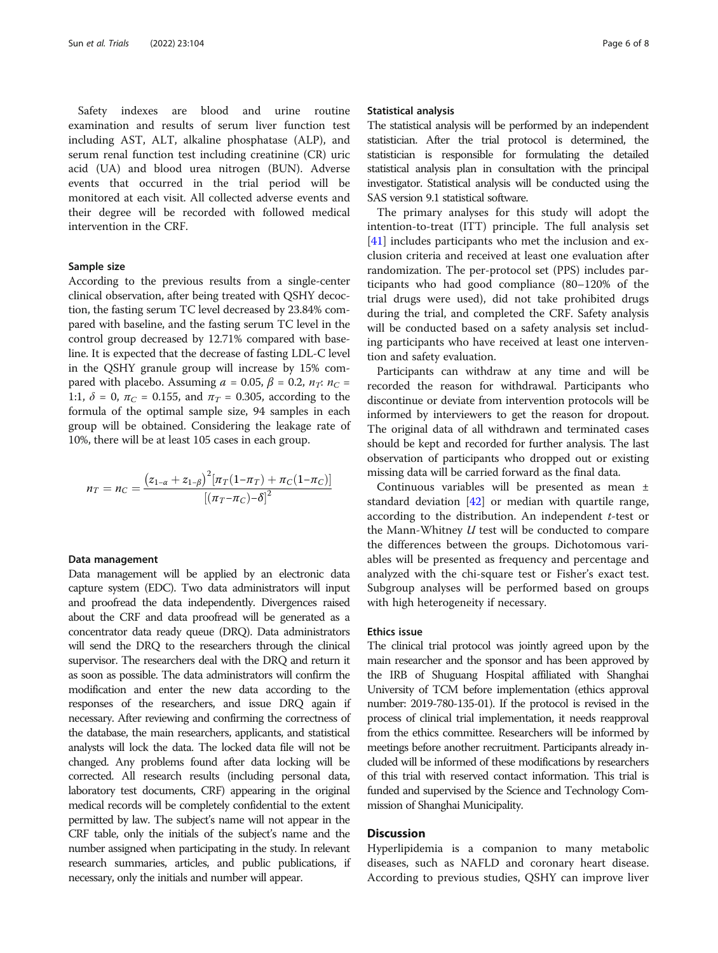Safety indexes are blood and urine routine examination and results of serum liver function test including AST, ALT, alkaline phosphatase (ALP), and serum renal function test including creatinine (CR) uric acid (UA) and blood urea nitrogen (BUN). Adverse events that occurred in the trial period will be monitored at each visit. All collected adverse events and their degree will be recorded with followed medical intervention in the CRF.

#### Sample size

According to the previous results from a single-center clinical observation, after being treated with QSHY decoction, the fasting serum TC level decreased by 23.84% compared with baseline, and the fasting serum TC level in the control group decreased by 12.71% compared with baseline. It is expected that the decrease of fasting LDL-C level in the QSHY granule group will increase by 15% compared with placebo. Assuming  $a = 0.05$ ,  $\beta = 0.2$ ,  $n_T$ :  $n_C =$ 1:1,  $\delta = 0$ ,  $\pi_C = 0.155$ , and  $\pi_T = 0.305$ , according to the formula of the optimal sample size, 94 samples in each group will be obtained. Considering the leakage rate of 10%, there will be at least 105 cases in each group.

$$
n_T = n_C = \frac{(z_{1-\alpha} + z_{1-\beta})^2 [\pi_T (1-\pi_T) + \pi_C (1-\pi_C)]}{[(\pi_T - \pi_C) - \delta]^2}
$$

#### Data management

Data management will be applied by an electronic data capture system (EDC). Two data administrators will input and proofread the data independently. Divergences raised about the CRF and data proofread will be generated as a concentrator data ready queue (DRQ). Data administrators will send the DRQ to the researchers through the clinical supervisor. The researchers deal with the DRQ and return it as soon as possible. The data administrators will confirm the modification and enter the new data according to the responses of the researchers, and issue DRQ again if necessary. After reviewing and confirming the correctness of the database, the main researchers, applicants, and statistical analysts will lock the data. The locked data file will not be changed. Any problems found after data locking will be corrected. All research results (including personal data, laboratory test documents, CRF) appearing in the original medical records will be completely confidential to the extent permitted by law. The subject's name will not appear in the CRF table, only the initials of the subject's name and the number assigned when participating in the study. In relevant research summaries, articles, and public publications, if necessary, only the initials and number will appear.

#### Statistical analysis

The statistical analysis will be performed by an independent statistician. After the trial protocol is determined, the statistician is responsible for formulating the detailed statistical analysis plan in consultation with the principal investigator. Statistical analysis will be conducted using the SAS version 9.1 statistical software.

The primary analyses for this study will adopt the intention-to-treat (ITT) principle. The full analysis set [[41\]](#page-7-0) includes participants who met the inclusion and exclusion criteria and received at least one evaluation after randomization. The per-protocol set (PPS) includes participants who had good compliance (80–120% of the trial drugs were used), did not take prohibited drugs during the trial, and completed the CRF. Safety analysis will be conducted based on a safety analysis set including participants who have received at least one intervention and safety evaluation.

Participants can withdraw at any time and will be recorded the reason for withdrawal. Participants who discontinue or deviate from intervention protocols will be informed by interviewers to get the reason for dropout. The original data of all withdrawn and terminated cases should be kept and recorded for further analysis. The last observation of participants who dropped out or existing missing data will be carried forward as the final data.

Continuous variables will be presented as mean ± standard deviation [[42\]](#page-7-0) or median with quartile range, according to the distribution. An independent t-test or the Mann-Whitney U test will be conducted to compare the differences between the groups. Dichotomous variables will be presented as frequency and percentage and analyzed with the chi-square test or Fisher's exact test. Subgroup analyses will be performed based on groups with high heterogeneity if necessary.

#### Ethics issue

The clinical trial protocol was jointly agreed upon by the main researcher and the sponsor and has been approved by the IRB of Shuguang Hospital affiliated with Shanghai University of TCM before implementation (ethics approval number: 2019-780-135-01). If the protocol is revised in the process of clinical trial implementation, it needs reapproval from the ethics committee. Researchers will be informed by meetings before another recruitment. Participants already included will be informed of these modifications by researchers of this trial with reserved contact information. This trial is funded and supervised by the Science and Technology Commission of Shanghai Municipality.

#### Discussion

Hyperlipidemia is a companion to many metabolic diseases, such as NAFLD and coronary heart disease. According to previous studies, QSHY can improve liver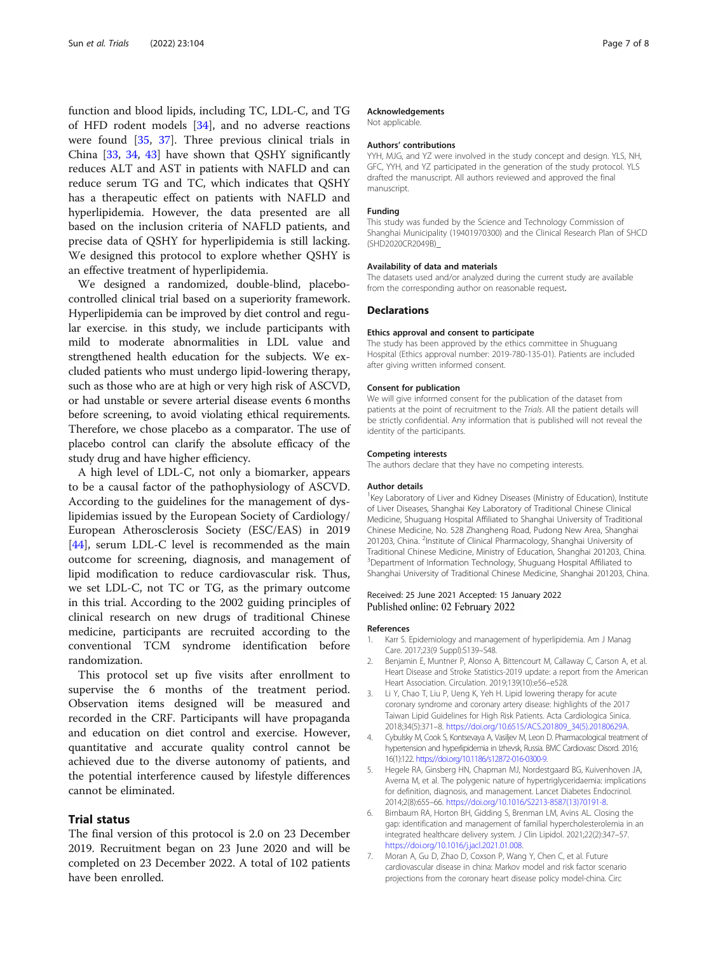<span id="page-6-0"></span>function and blood lipids, including TC, LDL-C, and TG of HFD rodent models [\[34](#page-7-0)], and no adverse reactions were found [\[35](#page-7-0), [37\]](#page-7-0). Three previous clinical trials in China [\[33](#page-7-0), [34](#page-7-0), [43](#page-7-0)] have shown that QSHY significantly reduces ALT and AST in patients with NAFLD and can reduce serum TG and TC, which indicates that QSHY has a therapeutic effect on patients with NAFLD and hyperlipidemia. However, the data presented are all based on the inclusion criteria of NAFLD patients, and precise data of QSHY for hyperlipidemia is still lacking. We designed this protocol to explore whether QSHY is an effective treatment of hyperlipidemia.

We designed a randomized, double-blind, placebocontrolled clinical trial based on a superiority framework. Hyperlipidemia can be improved by diet control and regular exercise. in this study, we include participants with mild to moderate abnormalities in LDL value and strengthened health education for the subjects. We excluded patients who must undergo lipid-lowering therapy, such as those who are at high or very high risk of ASCVD, or had unstable or severe arterial disease events 6 months before screening, to avoid violating ethical requirements. Therefore, we chose placebo as a comparator. The use of placebo control can clarify the absolute efficacy of the study drug and have higher efficiency.

A high level of LDL-C, not only a biomarker, appears to be a causal factor of the pathophysiology of ASCVD. According to the guidelines for the management of dyslipidemias issued by the European Society of Cardiology/ European Atherosclerosis Society (ESC/EAS) in 2019 [[44\]](#page-7-0), serum LDL-C level is recommended as the main outcome for screening, diagnosis, and management of lipid modification to reduce cardiovascular risk. Thus, we set LDL-C, not TC or TG, as the primary outcome in this trial. According to the 2002 guiding principles of clinical research on new drugs of traditional Chinese medicine, participants are recruited according to the conventional TCM syndrome identification before randomization.

This protocol set up five visits after enrollment to supervise the 6 months of the treatment period. Observation items designed will be measured and recorded in the CRF. Participants will have propaganda and education on diet control and exercise. However, quantitative and accurate quality control cannot be achieved due to the diverse autonomy of patients, and the potential interference caused by lifestyle differences cannot be eliminated.

#### Trial status

The final version of this protocol is 2.0 on 23 December 2019. Recruitment began on 23 June 2020 and will be completed on 23 December 2022. A total of 102 patients have been enrolled.

#### Acknowledgements

Not applicable.

#### Authors' contributions

YYH, MJG, and YZ were involved in the study concept and design. YLS, NH, GFC, YYH, and YZ participated in the generation of the study protocol. YLS drafted the manuscript. All authors reviewed and approved the final manuscript.

#### Funding

This study was funded by the Science and Technology Commission of Shanghai Municipality (19401970300) and the Clinical Research Plan of SHCD (SHD2020CR2049B)\_

#### Availability of data and materials

The datasets used and/or analyzed during the current study are available from the corresponding author on reasonable request.

#### **Declarations**

#### Ethics approval and consent to participate

The study has been approved by the ethics committee in Shuguang Hospital (Ethics approval number: 2019-780-135-01). Patients are included after giving written informed consent.

#### Consent for publication

We will give informed consent for the publication of the dataset from patients at the point of recruitment to the Trials. All the patient details will be strictly confidential. Any information that is published will not reveal the identity of the participants.

#### Competing interests

The authors declare that they have no competing interests.

#### Author details

<sup>1</sup>Key Laboratory of Liver and Kidney Diseases (Ministry of Education), Institute of Liver Diseases, Shanghai Key Laboratory of Traditional Chinese Clinical Medicine, Shuguang Hospital Affiliated to Shanghai University of Traditional Chinese Medicine, No. 528 Zhangheng Road, Pudong New Area, Shanghai 201203, China. <sup>2</sup>Institute of Clinical Pharmacology, Shanghai University of Traditional Chinese Medicine, Ministry of Education, Shanghai 201203, China. <sup>3</sup>Department of Information Technology, Shuguang Hospital Affiliated to Shanghai University of Traditional Chinese Medicine, Shanghai 201203, China.

#### Received: 25 June 2021 Accepted: 15 January 2022 Published online: 02 February 2022

#### References

- 1. Karr S. Epidemiology and management of hyperlipidemia. Am J Manag Care. 2017;23(9 Suppl):S139–S48.
- 2. Benjamin E, Muntner P, Alonso A, Bittencourt M, Callaway C, Carson A, et al. Heart Disease and Stroke Statistics-2019 update: a report from the American Heart Association. Circulation. 2019;139(10):e56–e528.
- 3. Li Y, Chao T, Liu P, Ueng K, Yeh H. Lipid lowering therapy for acute coronary syndrome and coronary artery disease: highlights of the 2017 Taiwan Lipid Guidelines for High Risk Patients. Acta Cardiologica Sinica. 2018;34(5):371–8. [https://doi.org/10.6515/ACS.201809\\_34\(5\).20180629A.](https://doi.org/10.6515/ACS.201809_34(5).20180629A)
- 4. Cybulsky M, Cook S, Kontsevaya A, Vasiljev M, Leon D. Pharmacological treatment of hypertension and hyperlipidemia in Izhevsk, Russia. BMC Cardiovasc Disord. 2016; 16(1):122. <https://doi.org/10.1186/s12872-016-0300-9>.
- 5. Hegele RA, Ginsberg HN, Chapman MJ, Nordestgaard BG, Kuivenhoven JA, Averna M, et al. The polygenic nature of hypertriglyceridaemia: implications for definition, diagnosis, and management. Lancet Diabetes Endocrinol. 2014;2(8):655–66. [https://doi.org/10.1016/S2213-8587\(13\)70191-8](https://doi.org/10.1016/S2213-8587(13)70191-8).
- 6. Birnbaum RA, Horton BH, Gidding S, Brenman LM, Avins AL. Closing the gap: identification and management of familial hypercholesterolemia in an integrated healthcare delivery system. J Clin Lipidol. 2021;22(2):347–57. <https://doi.org/10.1016/j.jacl.2021.01.008>.
- 7. Moran A, Gu D, Zhao D, Coxson P, Wang Y, Chen C, et al. Future cardiovascular disease in china: Markov model and risk factor scenario projections from the coronary heart disease policy model-china. Circ